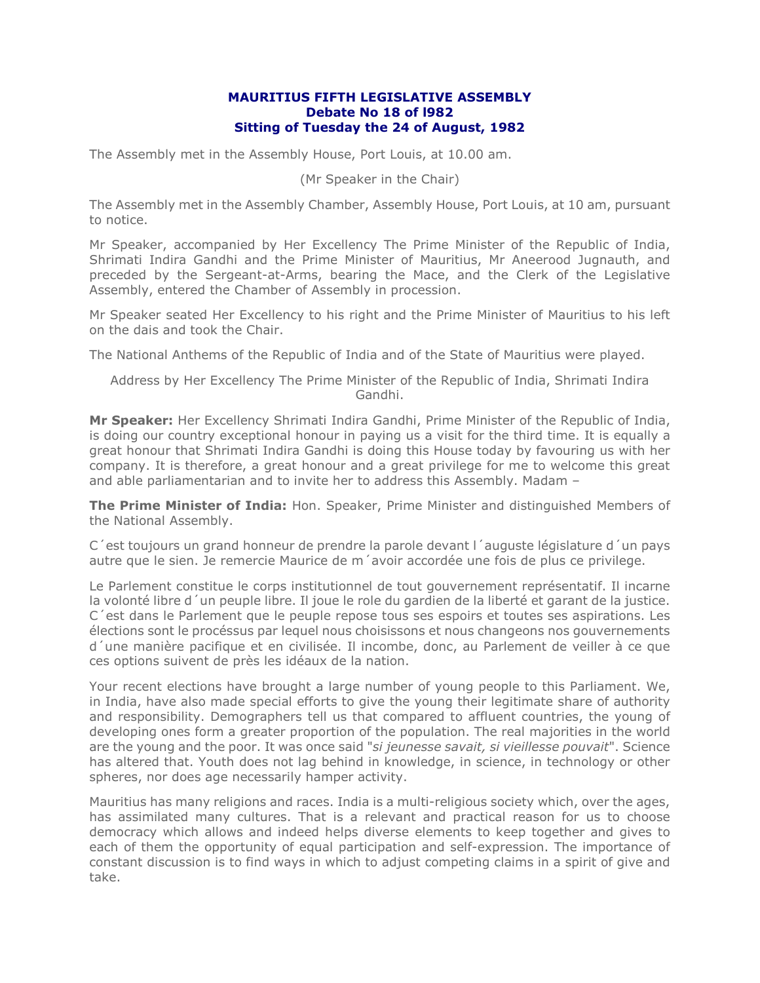## **MAURITIUS FIFTH LEGISLATIVE ASSEMBLY Debate No 18 of l982 Sitting of Tuesday the 24 of August, 1982**

The Assembly met in the Assembly House, Port Louis, at 10.00 am.

## (Mr Speaker in the Chair)

The Assembly met in the Assembly Chamber, Assembly House, Port Louis, at 10 am, pursuant to notice.

Mr Speaker, accompanied by Her Excellency The Prime Minister of the Republic of India, Shrimati Indira Gandhi and the Prime Minister of Mauritius, Mr Aneerood Jugnauth, and preceded by the Sergeant-at-Arms, bearing the Mace, and the Clerk of the Legislative Assembly, entered the Chamber of Assembly in procession.

Mr Speaker seated Her Excellency to his right and the Prime Minister of Mauritius to his left on the dais and took the Chair.

The National Anthems of the Republic of India and of the State of Mauritius were played.

Address by Her Excellency The Prime Minister of the Republic of India, Shrimati Indira Gandhi.

**Mr Speaker:** Her Excellency Shrimati Indira Gandhi, Prime Minister of the Republic of India, is doing our country exceptional honour in paying us a visit for the third time. It is equally a great honour that Shrimati Indira Gandhi is doing this House today by favouring us with her company. It is therefore, a great honour and a great privilege for me to welcome this great and able parliamentarian and to invite her to address this Assembly. Madam –

**The Prime Minister of India:** Hon. Speaker, Prime Minister and distinguished Members of the National Assembly.

C´est toujours un grand honneur de prendre la parole devant l´auguste législature d´un pays autre que le sien. Je remercie Maurice de m´avoir accordée une fois de plus ce privilege.

Le Parlement constitue le corps institutionnel de tout gouvernement représentatif. Il incarne la volonté libre d´un peuple libre. Il joue le role du gardien de la liberté et garant de la justice. C´est dans le Parlement que le peuple repose tous ses espoirs et toutes ses aspirations. Les élections sont le procéssus par lequel nous choisissons et nous changeons nos gouvernements d´une manière pacifique et en civilisée. Il incombe, donc, au Parlement de veiller à ce que ces options suivent de près les idéaux de la nation.

Your recent elections have brought a large number of young people to this Parliament. We, in India, have also made special efforts to give the young their legitimate share of authority and responsibility. Demographers tell us that compared to affluent countries, the young of developing ones form a greater proportion of the population. The real majorities in the world are the young and the poor. It was once said "*si jeunesse savait, si vieillesse pouvait*". Science has altered that. Youth does not lag behind in knowledge, in science, in technology or other spheres, nor does age necessarily hamper activity.

Mauritius has many religions and races. India is a multi-religious society which, over the ages, has assimilated many cultures. That is a relevant and practical reason for us to choose democracy which allows and indeed helps diverse elements to keep together and gives to each of them the opportunity of equal participation and self-expression. The importance of constant discussion is to find ways in which to adjust competing claims in a spirit of give and take.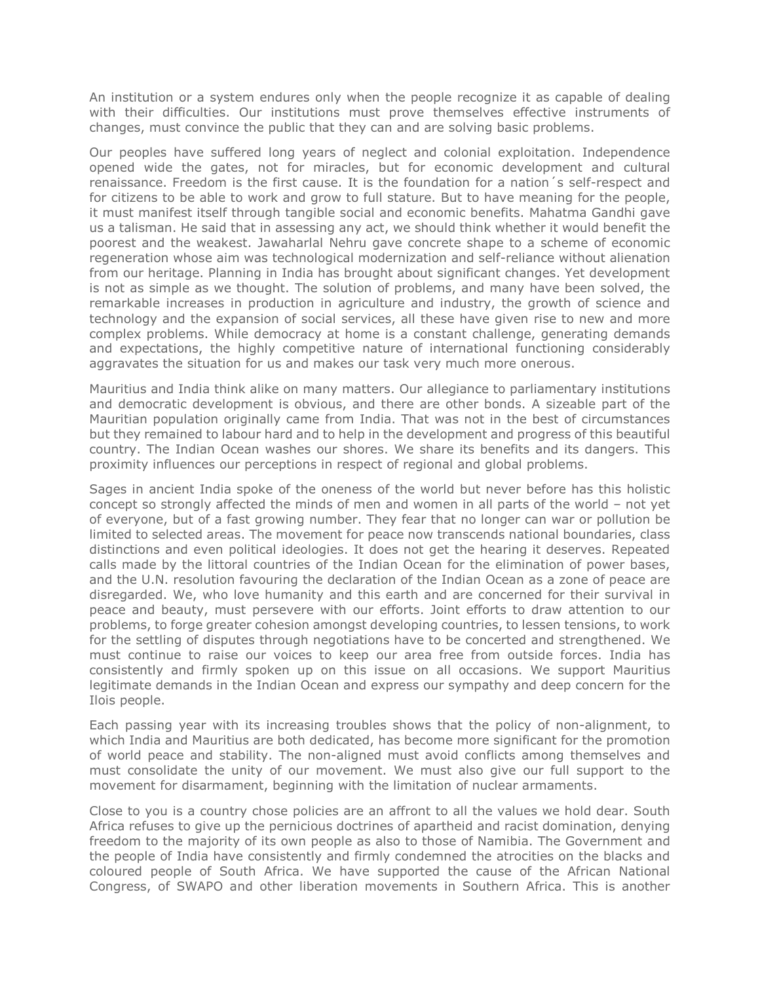An institution or a system endures only when the people recognize it as capable of dealing with their difficulties. Our institutions must prove themselves effective instruments of changes, must convince the public that they can and are solving basic problems.

Our peoples have suffered long years of neglect and colonial exploitation. Independence opened wide the gates, not for miracles, but for economic development and cultural renaissance. Freedom is the first cause. It is the foundation for a nation´s self-respect and for citizens to be able to work and grow to full stature. But to have meaning for the people, it must manifest itself through tangible social and economic benefits. Mahatma Gandhi gave us a talisman. He said that in assessing any act, we should think whether it would benefit the poorest and the weakest. Jawaharlal Nehru gave concrete shape to a scheme of economic regeneration whose aim was technological modernization and self-reliance without alienation from our heritage. Planning in India has brought about significant changes. Yet development is not as simple as we thought. The solution of problems, and many have been solved, the remarkable increases in production in agriculture and industry, the growth of science and technology and the expansion of social services, all these have given rise to new and more complex problems. While democracy at home is a constant challenge, generating demands and expectations, the highly competitive nature of international functioning considerably aggravates the situation for us and makes our task very much more onerous.

Mauritius and India think alike on many matters. Our allegiance to parliamentary institutions and democratic development is obvious, and there are other bonds. A sizeable part of the Mauritian population originally came from India. That was not in the best of circumstances but they remained to labour hard and to help in the development and progress of this beautiful country. The Indian Ocean washes our shores. We share its benefits and its dangers. This proximity influences our perceptions in respect of regional and global problems.

Sages in ancient India spoke of the oneness of the world but never before has this holistic concept so strongly affected the minds of men and women in all parts of the world – not yet of everyone, but of a fast growing number. They fear that no longer can war or pollution be limited to selected areas. The movement for peace now transcends national boundaries, class distinctions and even political ideologies. It does not get the hearing it deserves. Repeated calls made by the littoral countries of the Indian Ocean for the elimination of power bases, and the U.N. resolution favouring the declaration of the Indian Ocean as a zone of peace are disregarded. We, who love humanity and this earth and are concerned for their survival in peace and beauty, must persevere with our efforts. Joint efforts to draw attention to our problems, to forge greater cohesion amongst developing countries, to lessen tensions, to work for the settling of disputes through negotiations have to be concerted and strengthened. We must continue to raise our voices to keep our area free from outside forces. India has consistently and firmly spoken up on this issue on all occasions. We support Mauritius legitimate demands in the Indian Ocean and express our sympathy and deep concern for the Ilois people.

Each passing year with its increasing troubles shows that the policy of non-alignment, to which India and Mauritius are both dedicated, has become more significant for the promotion of world peace and stability. The non-aligned must avoid conflicts among themselves and must consolidate the unity of our movement. We must also give our full support to the movement for disarmament, beginning with the limitation of nuclear armaments.

Close to you is a country chose policies are an affront to all the values we hold dear. South Africa refuses to give up the pernicious doctrines of apartheid and racist domination, denying freedom to the majority of its own people as also to those of Namibia. The Government and the people of India have consistently and firmly condemned the atrocities on the blacks and coloured people of South Africa. We have supported the cause of the African National Congress, of SWAPO and other liberation movements in Southern Africa. This is another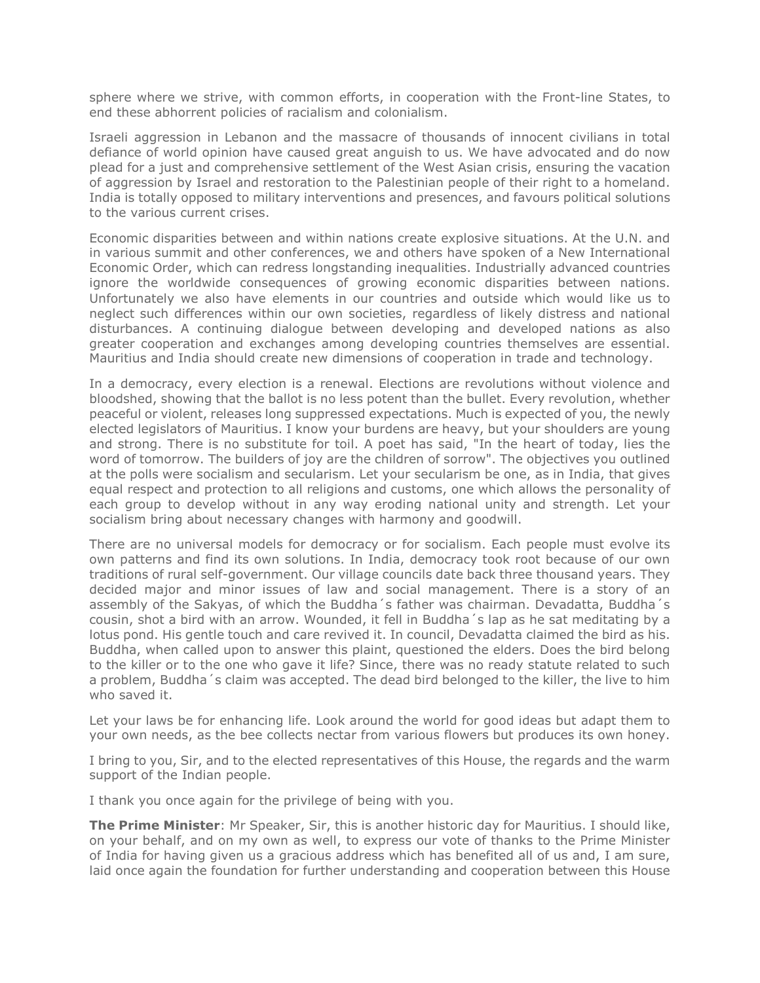sphere where we strive, with common efforts, in cooperation with the Front-line States, to end these abhorrent policies of racialism and colonialism.

Israeli aggression in Lebanon and the massacre of thousands of innocent civilians in total defiance of world opinion have caused great anguish to us. We have advocated and do now plead for a just and comprehensive settlement of the West Asian crisis, ensuring the vacation of aggression by Israel and restoration to the Palestinian people of their right to a homeland. India is totally opposed to military interventions and presences, and favours political solutions to the various current crises.

Economic disparities between and within nations create explosive situations. At the U.N. and in various summit and other conferences, we and others have spoken of a New International Economic Order, which can redress longstanding inequalities. Industrially advanced countries ignore the worldwide consequences of growing economic disparities between nations. Unfortunately we also have elements in our countries and outside which would like us to neglect such differences within our own societies, regardless of likely distress and national disturbances. A continuing dialogue between developing and developed nations as also greater cooperation and exchanges among developing countries themselves are essential. Mauritius and India should create new dimensions of cooperation in trade and technology.

In a democracy, every election is a renewal. Elections are revolutions without violence and bloodshed, showing that the ballot is no less potent than the bullet. Every revolution, whether peaceful or violent, releases long suppressed expectations. Much is expected of you, the newly elected legislators of Mauritius. I know your burdens are heavy, but your shoulders are young and strong. There is no substitute for toil. A poet has said, "In the heart of today, lies the word of tomorrow. The builders of joy are the children of sorrow". The objectives you outlined at the polls were socialism and secularism. Let your secularism be one, as in India, that gives equal respect and protection to all religions and customs, one which allows the personality of each group to develop without in any way eroding national unity and strength. Let your socialism bring about necessary changes with harmony and goodwill.

There are no universal models for democracy or for socialism. Each people must evolve its own patterns and find its own solutions. In India, democracy took root because of our own traditions of rural self-government. Our village councils date back three thousand years. They decided major and minor issues of law and social management. There is a story of an assembly of the Sakyas, of which the Buddha´s father was chairman. Devadatta, Buddha´s cousin, shot a bird with an arrow. Wounded, it fell in Buddha´s lap as he sat meditating by a lotus pond. His gentle touch and care revived it. In council, Devadatta claimed the bird as his. Buddha, when called upon to answer this plaint, questioned the elders. Does the bird belong to the killer or to the one who gave it life? Since, there was no ready statute related to such a problem, Buddha´s claim was accepted. The dead bird belonged to the killer, the live to him who saved it.

Let your laws be for enhancing life. Look around the world for good ideas but adapt them to your own needs, as the bee collects nectar from various flowers but produces its own honey.

I bring to you, Sir, and to the elected representatives of this House, the regards and the warm support of the Indian people.

I thank you once again for the privilege of being with you.

**The Prime Minister**: Mr Speaker, Sir, this is another historic day for Mauritius. I should like, on your behalf, and on my own as well, to express our vote of thanks to the Prime Minister of India for having given us a gracious address which has benefited all of us and, I am sure, laid once again the foundation for further understanding and cooperation between this House